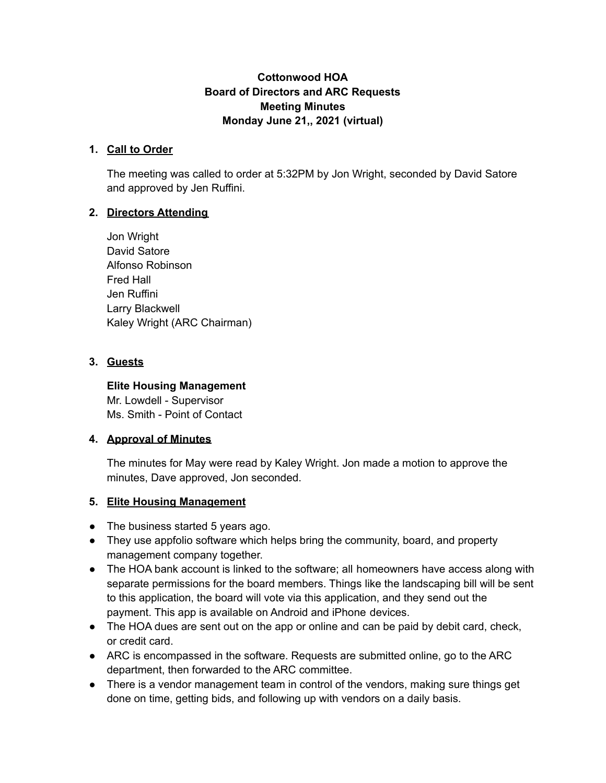### **Cottonwood HOA Board of Directors and ARC Requests Meeting Minutes Monday June 21,, 2021 (virtual)**

#### **1. Call to Order**

The meeting was called to order at 5:32PM by Jon Wright, seconded by David Satore and approved by Jen Ruffini.

### **2. Directors Attending**

Jon Wright David Satore Alfonso Robinson Fred Hall Jen Ruffini Larry Blackwell Kaley Wright (ARC Chairman)

#### **3. Guests**

### **Elite Housing Management**

Mr. Lowdell - Supervisor Ms. Smith - Point of Contact

### **4. Approval of Minutes**

The minutes for May were read by Kaley Wright. Jon made a motion to approve the minutes, Dave approved, Jon seconded.

### **5. Elite Housing Management**

- The business started 5 years ago.
- They use appfolio software which helps bring the community, board, and property management company together.
- The HOA bank account is linked to the software; all homeowners have access along with separate permissions for the board members. Things like the landscaping bill will be sent to this application, the board will vote via this application, and they send out the payment. This app is available on Android and iPhone devices.
- The HOA dues are sent out on the app or online and can be paid by debit card, check, or credit card.
- ARC is encompassed in the software. Requests are submitted online, go to the ARC department, then forwarded to the ARC committee.
- There is a vendor management team in control of the vendors, making sure things get done on time, getting bids, and following up with vendors on a daily basis.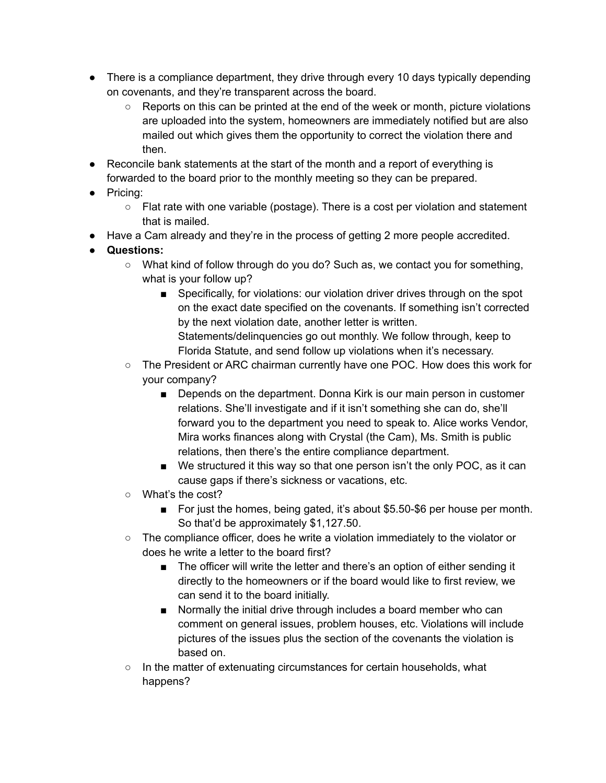- There is a compliance department, they drive through every 10 days typically depending on covenants, and they're transparent across the board.
	- Reports on this can be printed at the end of the week or month, picture violations are uploaded into the system, homeowners are immediately notified but are also mailed out which gives them the opportunity to correct the violation there and then.
- Reconcile bank statements at the start of the month and a report of everything is forwarded to the board prior to the monthly meeting so they can be prepared.
- Pricing:
	- Flat rate with one variable (postage). There is a cost per violation and statement that is mailed.
- Have a Cam already and they're in the process of getting 2 more people accredited.
- **● Questions:**
	- What kind of follow through do you do? Such as, we contact you for something, what is your follow up?
		- Specifically, for violations: our violation driver drives through on the spot on the exact date specified on the covenants. If something isn't corrected by the next violation date, another letter is written. Statements/delinquencies go out monthly. We follow through, keep to Florida Statute, and send follow up violations when it's necessary.
	- The President or ARC chairman currently have one POC. How does this work for your company?
		- Depends on the department. Donna Kirk is our main person in customer relations. She'll investigate and if it isn't something she can do, she'll forward you to the department you need to speak to. Alice works Vendor, Mira works finances along with Crystal (the Cam), Ms. Smith is public relations, then there's the entire compliance department.
		- We structured it this way so that one person isn't the only POC, as it can cause gaps if there's sickness or vacations, etc.
	- What's the cost?
		- For just the homes, being gated, it's about \$5.50-\$6 per house per month. So that'd be approximately \$1,127.50.
	- The compliance officer, does he write a violation immediately to the violator or does he write a letter to the board first?
		- The officer will write the letter and there's an option of either sending it directly to the homeowners or if the board would like to first review, we can send it to the board initially.
		- Normally the initial drive through includes a board member who can comment on general issues, problem houses, etc. Violations will include pictures of the issues plus the section of the covenants the violation is based on.
	- In the matter of extenuating circumstances for certain households, what happens?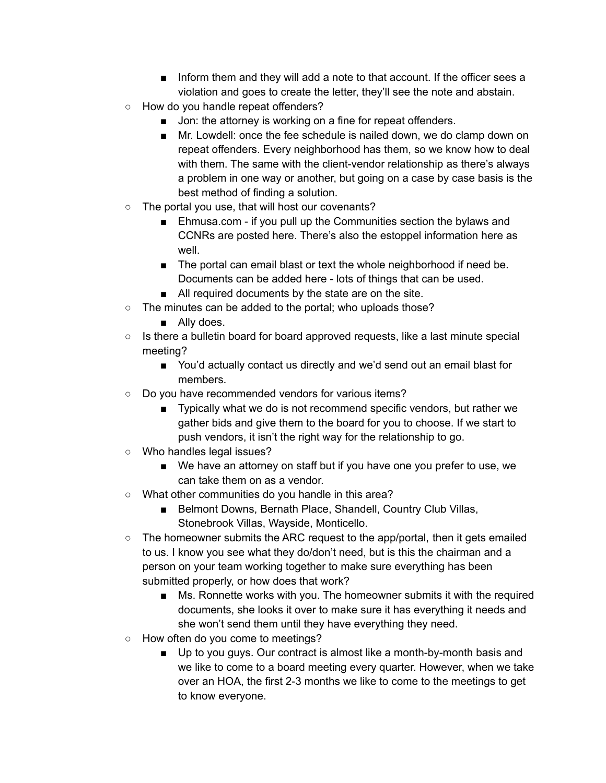- Inform them and they will add a note to that account. If the officer sees a violation and goes to create the letter, they'll see the note and abstain.
- How do you handle repeat offenders?
	- Jon: the attorney is working on a fine for repeat offenders.
	- Mr. Lowdell: once the fee schedule is nailed down, we do clamp down on repeat offenders. Every neighborhood has them, so we know how to deal with them. The same with the client-vendor relationship as there's always a problem in one way or another, but going on a case by case basis is the best method of finding a solution.
- The portal you use, that will host our covenants?
	- Ehmusa.com if you pull up the Communities section the bylaws and CCNRs are posted here. There's also the estoppel information here as well.
	- The portal can email blast or text the whole neighborhood if need be. Documents can be added here - lots of things that can be used.
	- All required documents by the state are on the site.
- The minutes can be added to the portal; who uploads those?
	- Ally does.
- Is there a bulletin board for board approved requests, like a last minute special meeting?
	- You'd actually contact us directly and we'd send out an email blast for members.
- Do you have recommended vendors for various items?
	- Typically what we do is not recommend specific vendors, but rather we gather bids and give them to the board for you to choose. If we start to push vendors, it isn't the right way for the relationship to go.
- Who handles legal issues?
	- We have an attorney on staff but if you have one you prefer to use, we can take them on as a vendor.
- What other communities do you handle in this area?
	- Belmont Downs, Bernath Place, Shandell, Country Club Villas, Stonebrook Villas, Wayside, Monticello.
- The homeowner submits the ARC request to the app/portal, then it gets emailed to us. I know you see what they do/don't need, but is this the chairman and a person on your team working together to make sure everything has been submitted properly, or how does that work?
	- Ms. Ronnette works with you. The homeowner submits it with the required documents, she looks it over to make sure it has everything it needs and she won't send them until they have everything they need.
- How often do you come to meetings?
	- Up to you guys. Our contract is almost like a month-by-month basis and we like to come to a board meeting every quarter. However, when we take over an HOA, the first 2-3 months we like to come to the meetings to get to know everyone.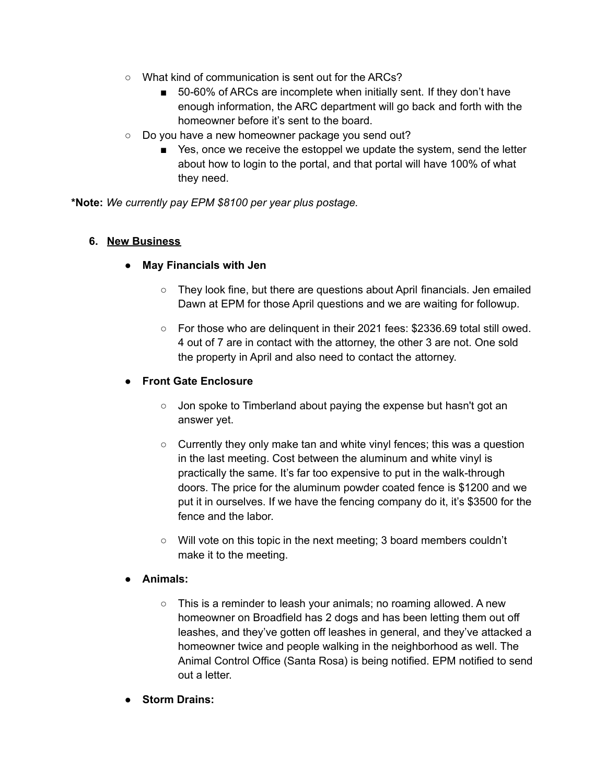- What kind of communication is sent out for the ARCs?
	- 50-60% of ARCs are incomplete when initially sent. If they don't have enough information, the ARC department will go back and forth with the homeowner before it's sent to the board.
- Do you have a new homeowner package you send out?
	- Yes, once we receive the estoppel we update the system, send the letter about how to login to the portal, and that portal will have 100% of what they need.

**\*Note:** *We currently pay EPM \$8100 per year plus postage.*

#### **6. New Business**

- **● May Financials with Jen**
	- **○** They look fine, but there are questions about April financials. Jen emailed Dawn at EPM for those April questions and we are waiting for followup.
	- $\circ$  For those who are delinguent in their 2021 fees: \$2336.69 total still owed. 4 out of 7 are in contact with the attorney, the other 3 are not. One sold the property in April and also need to contact the attorney.

#### **● Front Gate Enclosure**

- Jon spoke to Timberland about paying the expense but hasn't got an answer yet.
- Currently they only make tan and white vinyl fences; this was a question in the last meeting. Cost between the aluminum and white vinyl is practically the same. It's far too expensive to put in the walk-through doors. The price for the aluminum powder coated fence is \$1200 and we put it in ourselves. If we have the fencing company do it, it's \$3500 for the fence and the labor.
- Will vote on this topic in the next meeting; 3 board members couldn't make it to the meeting.

#### **● Animals:**

- **○** This is a reminder to leash your animals; no roaming allowed. A new homeowner on Broadfield has 2 dogs and has been letting them out off leashes, and they've gotten off leashes in general, and they've attacked a homeowner twice and people walking in the neighborhood as well. The Animal Control Office (Santa Rosa) is being notified. EPM notified to send out a letter.
- **● Storm Drains:**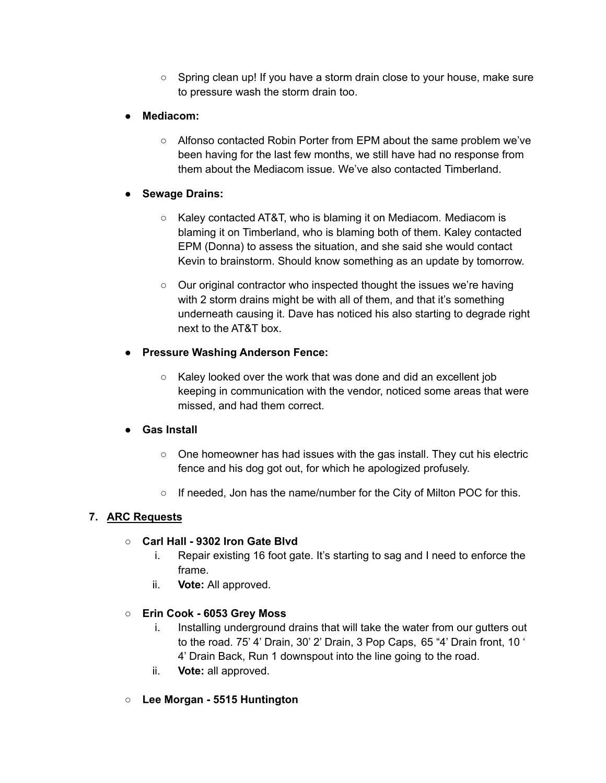- Spring clean up! If you have a storm drain close to your house, make sure to pressure wash the storm drain too.
- **● Mediacom:**
	- **○** Alfonso contacted Robin Porter from EPM about the same problem we've been having for the last few months, we still have had no response from them about the Mediacom issue. We've also contacted Timberland.

## **● Sewage Drains:**

- Kaley contacted AT&T, who is blaming it on Mediacom. Mediacom is blaming it on Timberland, who is blaming both of them. Kaley contacted EPM (Donna) to assess the situation, and she said she would contact Kevin to brainstorm. Should know something as an update by tomorrow.
- Our original contractor who inspected thought the issues we're having with 2 storm drains might be with all of them, and that it's something underneath causing it. Dave has noticed his also starting to degrade right next to the AT&T box.

## **● Pressure Washing Anderson Fence:**

**○** Kaley looked over the work that was done and did an excellent job keeping in communication with the vendor, noticed some areas that were missed, and had them correct.

### **● Gas Install**

- $\circ$  One homeowner has had issues with the gas install. They cut his electric fence and his dog got out, for which he apologized profusely.
- $\circ$  If needed, Jon has the name/number for the City of Milton POC for this.

# **7. ARC Requests**

### ○ **Carl Hall - 9302 Iron Gate Blvd**

- i. Repair existing 16 foot gate. It's starting to sag and I need to enforce the frame.
- ii. **Vote:** All approved.

### ○ **Erin Cook - 6053 Grey Moss**

- i. Installing underground drains that will take the water from our gutters out to the road. 75' 4' Drain, 30' 2' Drain, 3 Pop Caps, 65 "4' Drain front, 10 ' 4' Drain Back, Run 1 downspout into the line going to the road.
- ii. **Vote:** all approved.
- **Lee Morgan - 5515 Huntington**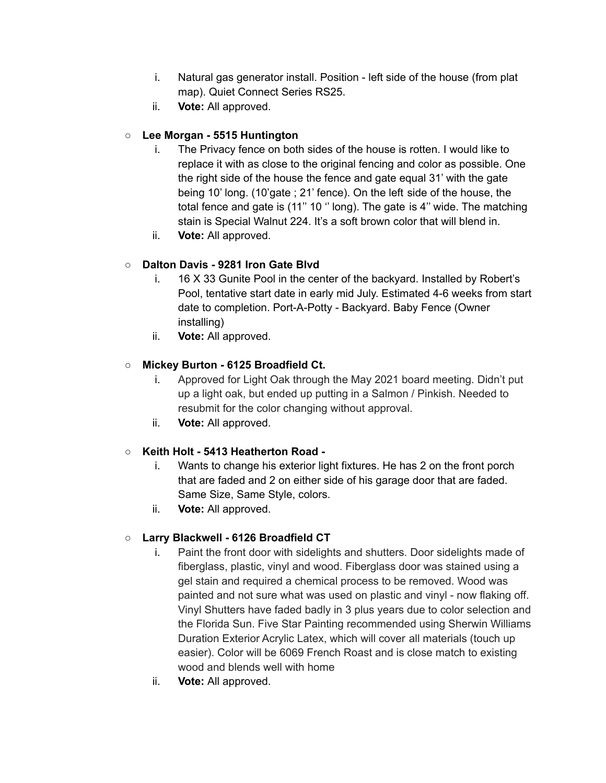- i. Natural gas generator install. Position left side of the house (from plat map). Quiet Connect Series RS25.
- ii. **Vote:** All approved.

# ○ **Lee Morgan - 5515 Huntington**

- i. The Privacy fence on both sides of the house is rotten. I would like to replace it with as close to the original fencing and color as possible. One the right side of the house the fence and gate equal 31' with the gate being 10' long. (10'gate ; 21' fence). On the left side of the house, the total fence and gate is (11'' 10 '' long). The gate is 4'' wide. The matching stain is Special Walnut 224. It's a soft brown color that will blend in.
- ii. **Vote:** All approved.

# ○ **Dalton Davis - 9281 Iron Gate Blvd**

- i. 16 X 33 Gunite Pool in the center of the backyard. Installed by Robert's Pool, tentative start date in early mid July. Estimated 4-6 weeks from start date to completion. Port-A-Potty - Backyard. Baby Fence (Owner installing)
- ii. **Vote:** All approved.

## ○ **Mickey Burton - 6125 Broadfield Ct.**

- i. Approved for Light Oak through the May 2021 board meeting. Didn't put up a light oak, but ended up putting in a Salmon / Pinkish. Needed to resubmit for the color changing without approval.
- ii. **Vote:** All approved.

### ○ **Keith Holt - 5413 Heatherton Road -**

- i. Wants to change his exterior light fixtures. He has 2 on the front porch that are faded and 2 on either side of his garage door that are faded. Same Size, Same Style, colors.
- ii. **Vote:** All approved.

# ○ **Larry Blackwell - 6126 Broadfield CT**

- i. Paint the front door with sidelights and shutters. Door sidelights made of fiberglass, plastic, vinyl and wood. Fiberglass door was stained using a gel stain and required a chemical process to be removed. Wood was painted and not sure what was used on plastic and vinyl - now flaking off. Vinyl Shutters have faded badly in 3 plus years due to color selection and the Florida Sun. Five Star Painting recommended using Sherwin Williams Duration Exterior Acrylic Latex, which will cover all materials (touch up easier). Color will be 6069 French Roast and is close match to existing wood and blends well with home
- ii. **Vote:** All approved.